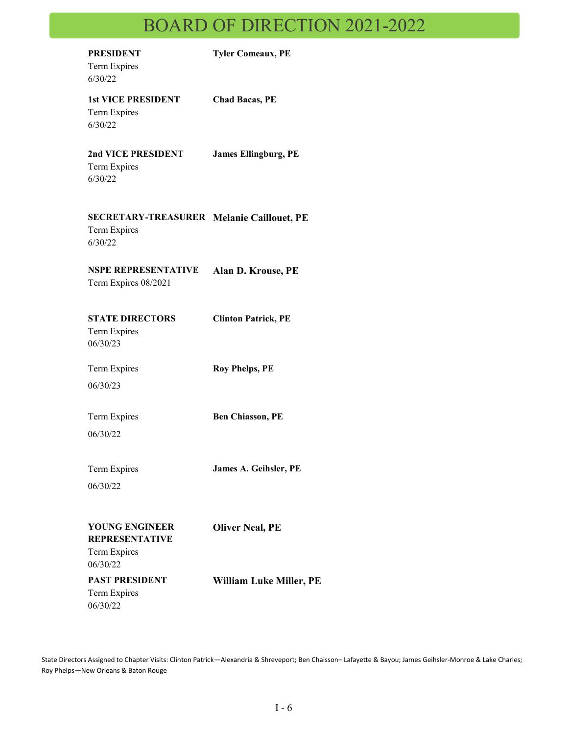# BOARD OF DIRECTION 2021-2022

| <b>PRESIDENT</b><br>Term Expires<br>6/30/22                                 | <b>Tyler Comeaux, PE</b>    |
|-----------------------------------------------------------------------------|-----------------------------|
| <b>1st VICE PRESIDENT</b><br>Term Expires<br>6/30/22                        | <b>Chad Bacas, PE</b>       |
| 2nd VICE PRESIDENT<br>Term Expires<br>6/30/22                               | <b>James Ellingburg, PE</b> |
| <b>SECRETARY-TREASURER Melanie Caillouet, PE</b><br>Term Expires<br>6/30/22 |                             |
| <b>NSPE REPRESENTATIVE</b><br>Term Expires 08/2021                          | Alan D. Krouse, PE          |
| <b>STATE DIRECTORS</b><br>Term Expires<br>06/30/23                          | <b>Clinton Patrick, PE</b>  |
| Term Expires<br>06/30/23                                                    | <b>Roy Phelps, PE</b>       |
| Term Expires<br>06/30/22                                                    | <b>Ben Chiasson, PE</b>     |
| Term Expires<br>06/30/22                                                    | James A. Geihsler, PE       |
| <b>YOUNG ENGINEER</b><br><b>REPRESENTATIVE</b><br>Term Expires              | <b>Oliver Neal, PE</b>      |
| 06/30/22<br><b>PAST PRESIDENT</b><br>Term Expires<br>06/30/22               | William Luke Miller, PE     |

State Directors Assigned to Chapter Visits: Clinton Patrick—Alexandria & Shreveport; Ben Chaisson– Lafayette & Bayou; James Geihsler-Monroe & Lake Charles; Roy Phelps—New Orleans & Baton Rouge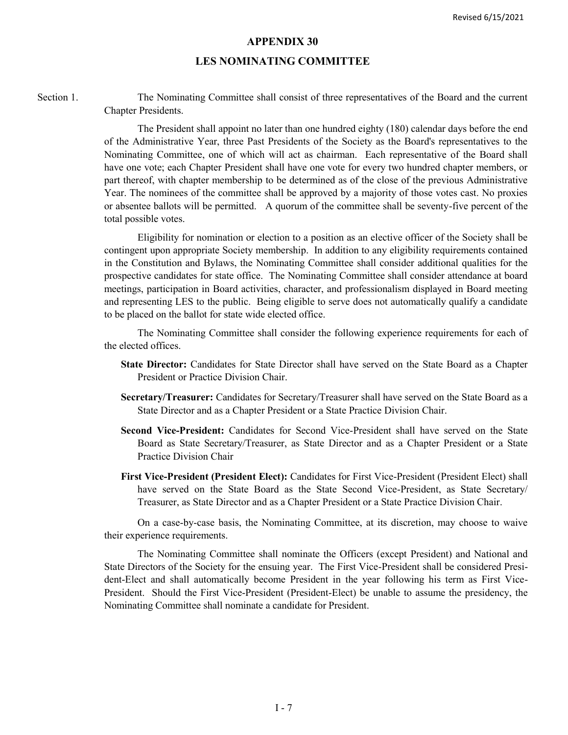#### **APPENDIX 30**

#### **LES NOMINATING COMMITTEE**

Section 1. The Nominating Committee shall consist of three representatives of the Board and the current Chapter Presidents.

> The President shall appoint no later than one hundred eighty (180) calendar days before the end of the Administrative Year, three Past Presidents of the Society as the Board's representatives to the Nominating Committee, one of which will act as chairman. Each representative of the Board shall have one vote; each Chapter President shall have one vote for every two hundred chapter members, or part thereof, with chapter membership to be determined as of the close of the previous Administrative Year. The nominees of the committee shall be approved by a majority of those votes cast. No proxies or absentee ballots will be permitted. A quorum of the committee shall be seventy-five percent of the total possible votes.

> Eligibility for nomination or election to a position as an elective officer of the Society shall be contingent upon appropriate Society membership. In addition to any eligibility requirements contained in the Constitution and Bylaws, the Nominating Committee shall consider additional qualities for the prospective candidates for state office. The Nominating Committee shall consider attendance at board meetings, participation in Board activities, character, and professionalism displayed in Board meeting and representing LES to the public. Being eligible to serve does not automatically qualify a candidate to be placed on the ballot for state wide elected office.

> The Nominating Committee shall consider the following experience requirements for each of the elected offices.

- **State Director:** Candidates for State Director shall have served on the State Board as a Chapter President or Practice Division Chair.
- **Secretary/Treasurer:** Candidates for Secretary/Treasurer shall have served on the State Board as a State Director and as a Chapter President or a State Practice Division Chair.
- **Second Vice-President:** Candidates for Second Vice-President shall have served on the State Board as State Secretary/Treasurer, as State Director and as a Chapter President or a State Practice Division Chair
- **First Vice-President (President Elect):** Candidates for First Vice-President (President Elect) shall have served on the State Board as the State Second Vice-President, as State Secretary/ Treasurer, as State Director and as a Chapter President or a State Practice Division Chair.

On a case-by-case basis, the Nominating Committee, at its discretion, may choose to waive their experience requirements.

The Nominating Committee shall nominate the Officers (except President) and National and State Directors of the Society for the ensuing year. The First Vice-President shall be considered President-Elect and shall automatically become President in the year following his term as First Vice-President. Should the First Vice-President (President-Elect) be unable to assume the presidency, the Nominating Committee shall nominate a candidate for President.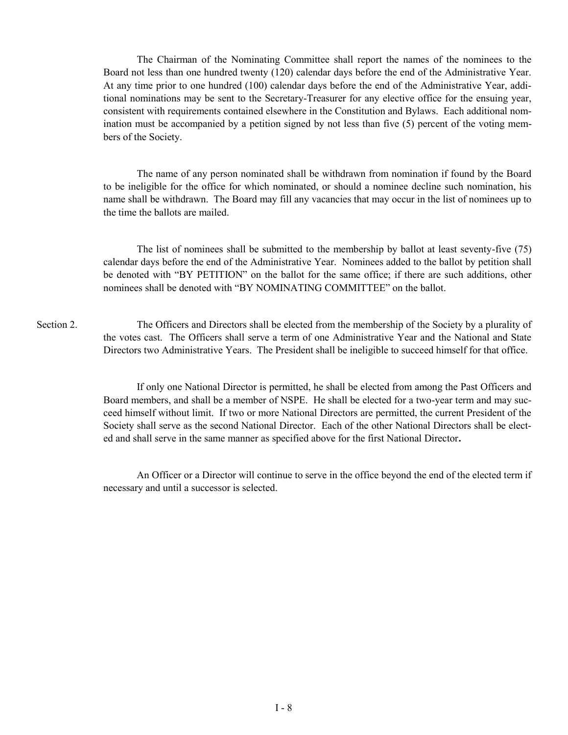The Chairman of the Nominating Committee shall report the names of the nominees to the Board not less than one hundred twenty (120) calendar days before the end of the Administrative Year. At any time prior to one hundred (100) calendar days before the end of the Administrative Year, additional nominations may be sent to the Secretary-Treasurer for any elective office for the ensuing year, consistent with requirements contained elsewhere in the Constitution and Bylaws. Each additional nomination must be accompanied by a petition signed by not less than five (5) percent of the voting members of the Society.

The name of any person nominated shall be withdrawn from nomination if found by the Board to be ineligible for the office for which nominated, or should a nominee decline such nomination, his name shall be withdrawn. The Board may fill any vacancies that may occur in the list of nominees up to the time the ballots are mailed.

The list of nominees shall be submitted to the membership by ballot at least seventy-five (75) calendar days before the end of the Administrative Year. Nominees added to the ballot by petition shall be denoted with "BY PETITION" on the ballot for the same office; if there are such additions, other nominees shall be denoted with "BY NOMINATING COMMITTEE" on the ballot.

Section 2. The Officers and Directors shall be elected from the membership of the Society by a plurality of the votes cast. The Officers shall serve a term of one Administrative Year and the National and State Directors two Administrative Years. The President shall be ineligible to succeed himself for that office.

> If only one National Director is permitted, he shall be elected from among the Past Officers and Board members, and shall be a member of NSPE. He shall be elected for a two-year term and may succeed himself without limit. If two or more National Directors are permitted, the current President of the Society shall serve as the second National Director. Each of the other National Directors shall be elected and shall serve in the same manner as specified above for the first National Director**.**

> An Officer or a Director will continue to serve in the office beyond the end of the elected term if necessary and until a successor is selected.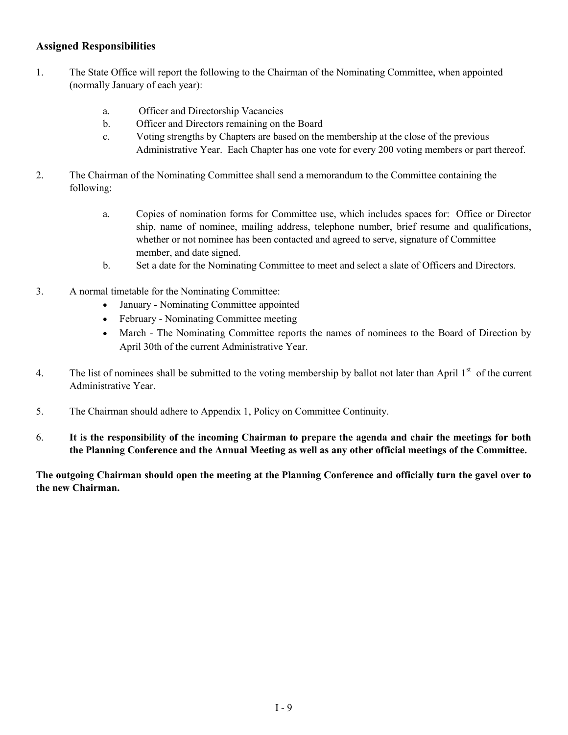#### **Assigned Responsibilities**

- 1. The State Office will report the following to the Chairman of the Nominating Committee, when appointed (normally January of each year):
	- a. Officer and Directorship Vacancies
	- b. Officer and Directors remaining on the Board
	- c. Voting strengths by Chapters are based on the membership at the close of the previous Administrative Year. Each Chapter has one vote for every 200 voting members or part thereof.
- 2. The Chairman of the Nominating Committee shall send a memorandum to the Committee containing the following:
	- a. Copies of nomination forms for Committee use, which includes spaces for: Office or Director ship, name of nominee, mailing address, telephone number, brief resume and qualifications, whether or not nominee has been contacted and agreed to serve, signature of Committee member, and date signed.
	- b. Set a date for the Nominating Committee to meet and select a slate of Officers and Directors.
- 3. A normal timetable for the Nominating Committee:
	- January Nominating Committee appointed
	- February Nominating Committee meeting
	- March The Nominating Committee reports the names of nominees to the Board of Direction by April 30th of the current Administrative Year.
- 4. The list of nominees shall be submitted to the voting membership by ballot not later than April  $1<sup>st</sup>$  of the current Administrative Year.
- 5. The Chairman should adhere to Appendix 1, Policy on Committee Continuity.
- 6. **It is the responsibility of the incoming Chairman to prepare the agenda and chair the meetings for both the Planning Conference and the Annual Meeting as well as any other official meetings of the Committee.**

**The outgoing Chairman should open the meeting at the Planning Conference and officially turn the gavel over to the new Chairman.**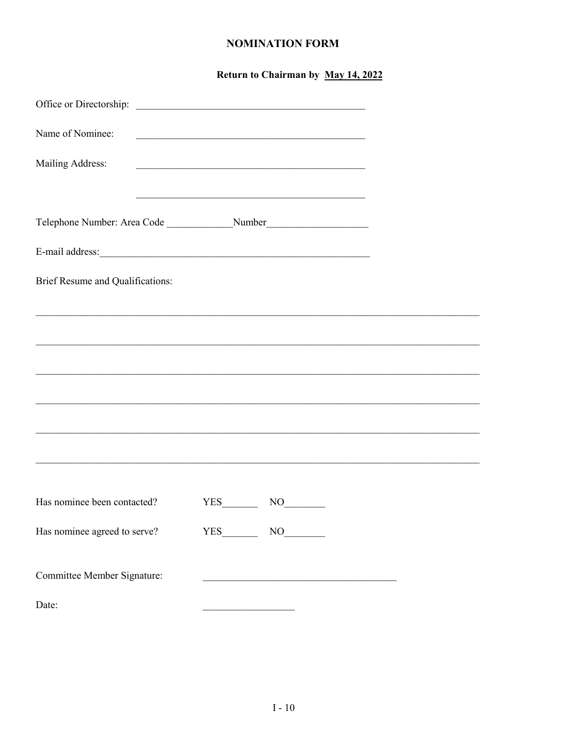#### **NOMINATION FORM**

|                                  | Return to Chairman by May 14, 2022                                                                                   |  |
|----------------------------------|----------------------------------------------------------------------------------------------------------------------|--|
| Office or Directorship:          | <u> Alexandria de la contrada de la contrada de la contrada de la contrada de la contrada de la contrada de la c</u> |  |
| Name of Nominee:                 |                                                                                                                      |  |
| Mailing Address:                 |                                                                                                                      |  |
|                                  |                                                                                                                      |  |
|                                  | Telephone Number: Area Code __________________Number____________________________                                     |  |
|                                  |                                                                                                                      |  |
| Brief Resume and Qualifications: |                                                                                                                      |  |
|                                  |                                                                                                                      |  |
|                                  | ,我们也不能在这里的人,我们也不能在这里的人,我们也不能在这里的人,我们也不能在这里的人,我们也不能在这里的人,我们也不能在这里的人,我们也不能在这里的人,我们也                                    |  |
|                                  |                                                                                                                      |  |
|                                  |                                                                                                                      |  |
|                                  |                                                                                                                      |  |
|                                  |                                                                                                                      |  |
|                                  |                                                                                                                      |  |
| Has nominee been contacted?      | $YES$ NO                                                                                                             |  |
| Has nominee agreed to serve?     | $YES$ NO                                                                                                             |  |
| Committee Member Signature:      |                                                                                                                      |  |
| Date:                            |                                                                                                                      |  |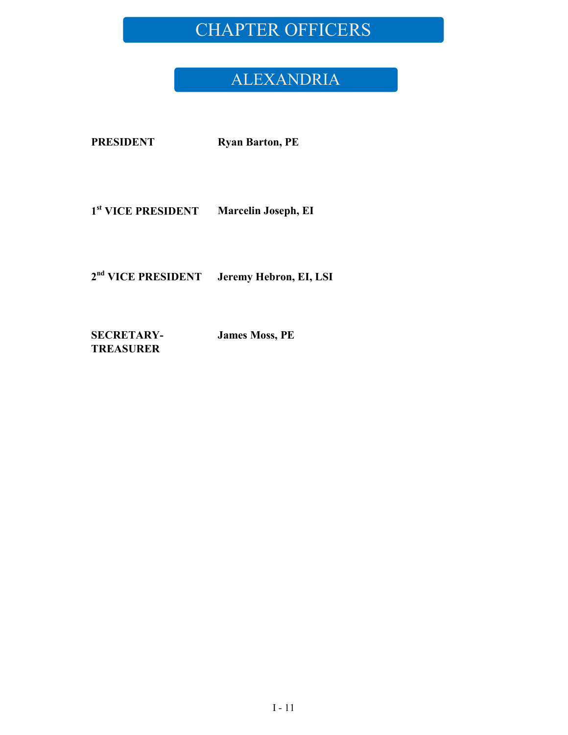## CHAPTER OFFICERS

### ALEXANDRIA

**PRESIDENT Ryan Barton, PE**

**1 st VICE PRESIDENT Marcelin Joseph, EI**

**2 nd VICE PRESIDENT Jeremy Hebron, EI, LSI**

**SECRETARY-TREASURER**

**James Moss, PE**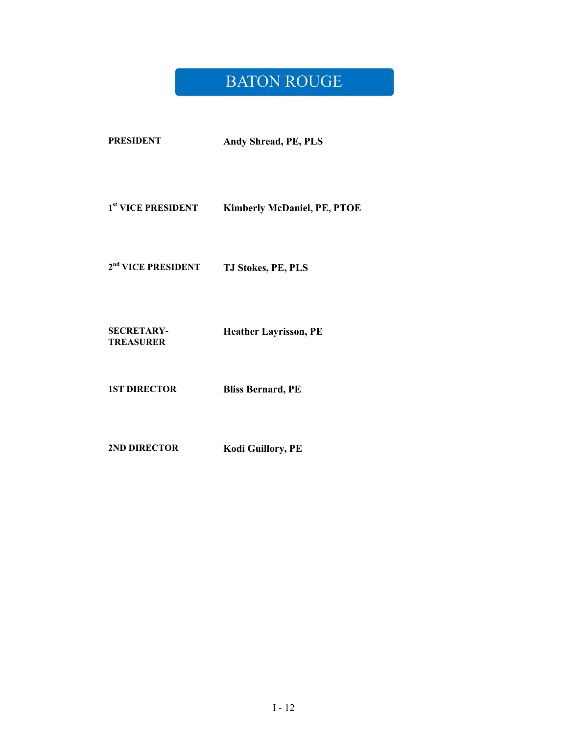#### **BATON ROUGE**

1<sup>st</sup> VICE PRESIDENT  $Kimberly McDonald, PE, PTOE$ 

 $2<sup>nd</sup>$  VICE PRESIDENT  $TJ$  Stokes, PE, PLS

**SECRETARY-TREASURER Heather Layrisson, PE**

**1ST DIRECTOR Bliss Bernard, PE**

**2ND DIRECTOR Kodi Guillory, PE**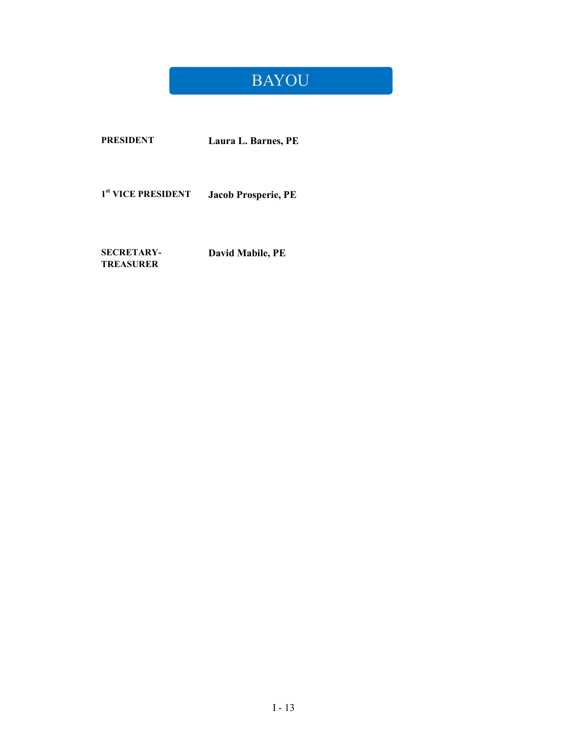## BAYOU

**PRESIDENT Laura L. Barnes, PE**

1<sup>st</sup> VICE PRESIDENT  $Jacob$  Prosperie, PE

**SECRETARY-TREASURER David Mabile, PE**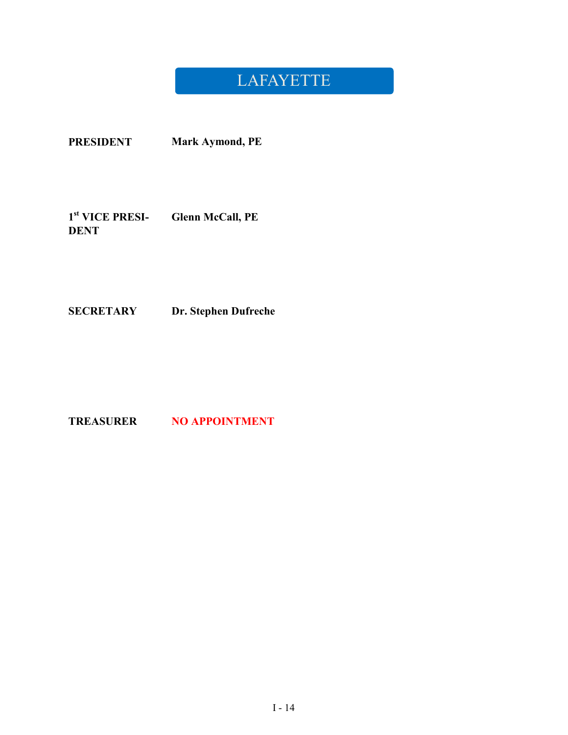### LAFAYETTE

**PRESIDENT Mark Aymond, PE**

**1 st VICE PRESI-DENT Glenn McCall, PE**

**SECRETARY Dr. Stephen Dufreche**

**TREASURER NO APPOINTMENT**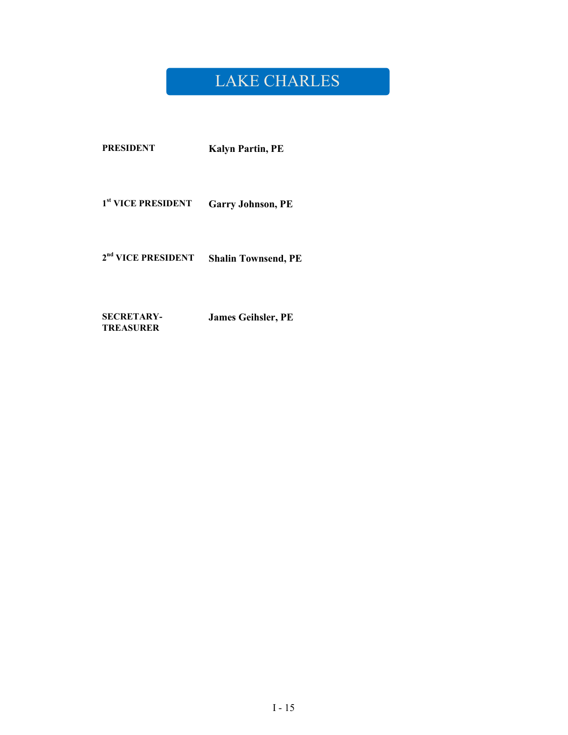### LAKE CHARLES

**PRESIDENT Kalyn Partin, PE** 

**Garry Johnson, PE** 1<sup>st</sup> VICE PRESIDENT

2<sup>nd</sup> VICE PRESIDENT Shalin Townsend, PE

**SECRETARY-James Geihsler, PE TREASURER**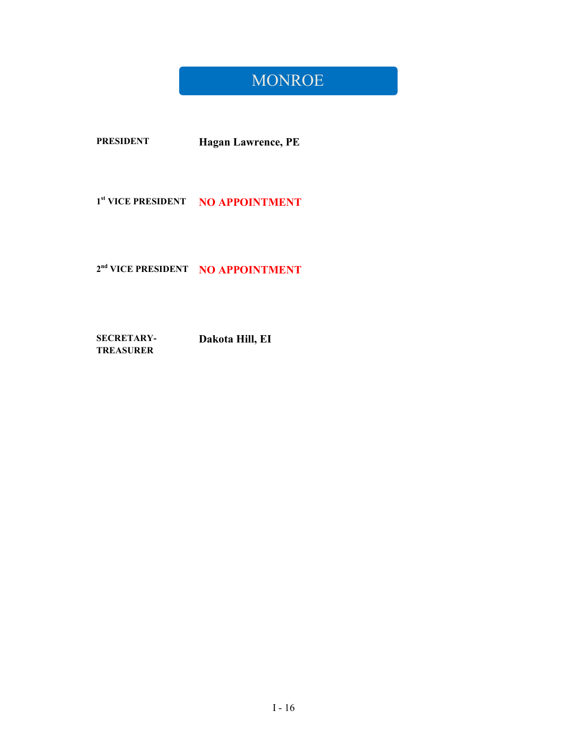#### **MONROE**

**PRESIDENT** Hagan Lawrence, PE

1st VICE PRESIDENT NO APPOINTMENT

#### 2<sup>nd</sup> VICE PRESIDENT NO APPOINTMENT

Dakota Hill, EI **SECRETARY-TREASURER**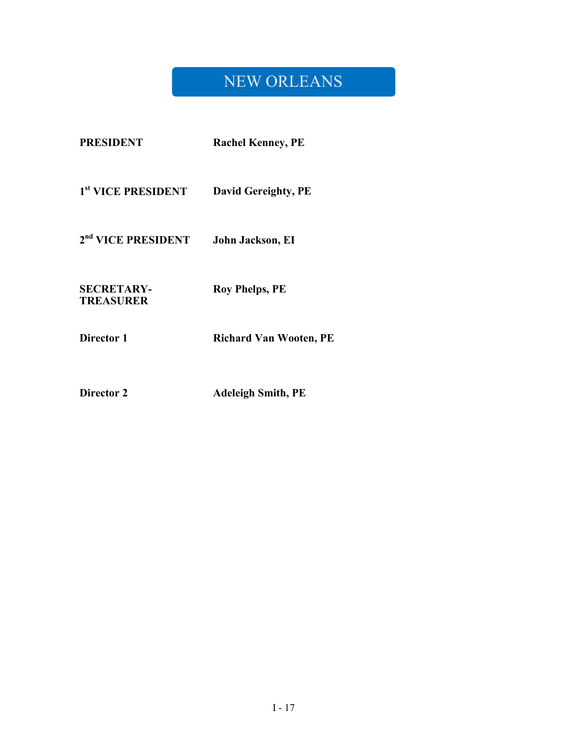## NEW ORLEANS

| <b>PRESIDENT</b>                      | <b>Rachel Kenney, PE</b>      |
|---------------------------------------|-------------------------------|
| 1 <sup>st</sup> VICE PRESIDENT        | <b>David Gereighty, PE</b>    |
| 2 <sup>nd</sup> VICE PRESIDENT        | John Jackson, EI              |
| <b>SECRETARY-</b><br><b>TREASURER</b> | <b>Roy Phelps, PE</b>         |
| Director 1                            | <b>Richard Van Wooten, PE</b> |

**Director 2 Adeleigh Smith, PE**